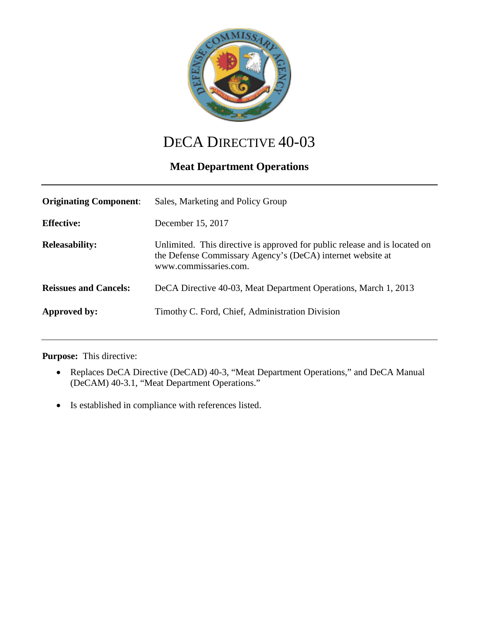

# DECA DIRECTIVE 40-03

## **Meat Department Operations**

| <b>Originating Component:</b> | Sales, Marketing and Policy Group                                                                                                                                 |
|-------------------------------|-------------------------------------------------------------------------------------------------------------------------------------------------------------------|
| <b>Effective:</b>             | December 15, 2017                                                                                                                                                 |
| <b>Releasability:</b>         | Unlimited. This directive is approved for public release and is located on<br>the Defense Commissary Agency's (DeCA) internet website at<br>www.commissaries.com. |
| <b>Reissues and Cancels:</b>  | DeCA Directive 40-03, Meat Department Operations, March 1, 2013                                                                                                   |
| Approved by:                  | Timothy C. Ford, Chief, Administration Division                                                                                                                   |

#### **Purpose:** This directive:

- Replaces DeCA Directive (DeCAD) 40-3, "Meat Department Operations," and DeCA Manual (DeCAM) 40-3.1, "Meat Department Operations."
- Is established in compliance with references listed.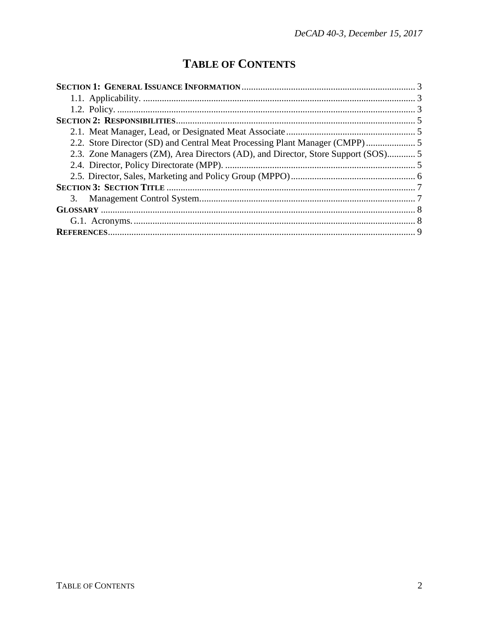## **TABLE OF CONTENTS**

| 2.3. Zone Managers (ZM), Area Directors (AD), and Director, Store Support (SOS) 5 |  |  |
|-----------------------------------------------------------------------------------|--|--|
|                                                                                   |  |  |
|                                                                                   |  |  |
|                                                                                   |  |  |
|                                                                                   |  |  |
|                                                                                   |  |  |
|                                                                                   |  |  |
|                                                                                   |  |  |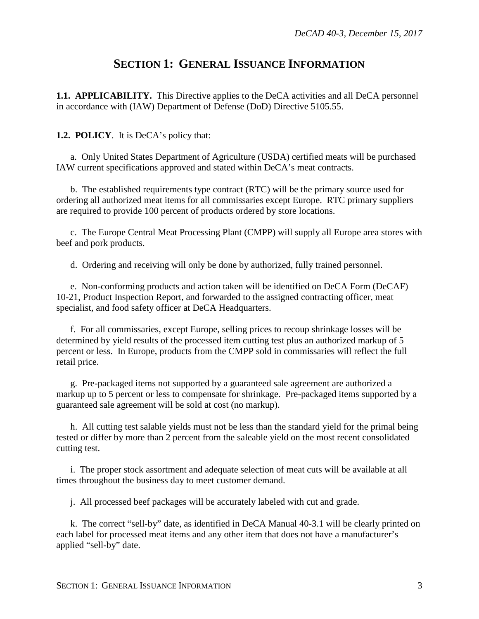### **SECTION 1: GENERAL ISSUANCE INFORMATION**

<span id="page-2-1"></span><span id="page-2-0"></span>**1.1. APPLICABILITY.** This Directive applies to the DeCA activities and all DeCA personnel in accordance with (IAW) Department of Defense (DoD) Directive 5105.55.

#### <span id="page-2-2"></span>**1.2. POLICY**. It is DeCA's policy that:

a. Only United States Department of Agriculture (USDA) certified meats will be purchased IAW current specifications approved and stated within DeCA's meat contracts.

b. The established requirements type contract (RTC) will be the primary source used for ordering all authorized meat items for all commissaries except Europe. RTC primary suppliers are required to provide 100 percent of products ordered by store locations.

c. The Europe Central Meat Processing Plant (CMPP) will supply all Europe area stores with beef and pork products.

d. Ordering and receiving will only be done by authorized, fully trained personnel.

e. Non-conforming products and action taken will be identified on DeCA Form (DeCAF) 10-21, Product Inspection Report, and forwarded to the assigned contracting officer, meat specialist, and food safety officer at DeCA Headquarters.

f. For all commissaries, except Europe, selling prices to recoup shrinkage losses will be determined by yield results of the processed item cutting test plus an authorized markup of 5 percent or less. In Europe, products from the CMPP sold in commissaries will reflect the full retail price.

g. Pre-packaged items not supported by a guaranteed sale agreement are authorized a markup up to 5 percent or less to compensate for shrinkage. Pre-packaged items supported by a guaranteed sale agreement will be sold at cost (no markup).

h. All cutting test salable yields must not be less than the standard yield for the primal being tested or differ by more than 2 percent from the saleable yield on the most recent consolidated cutting test.

i. The proper stock assortment and adequate selection of meat cuts will be available at all times throughout the business day to meet customer demand.

j. All processed beef packages will be accurately labeled with cut and grade.

k. The correct "sell-by" date, as identified in DeCA Manual 40-3.1 will be clearly printed on each label for processed meat items and any other item that does not have a manufacturer's applied "sell-by" date.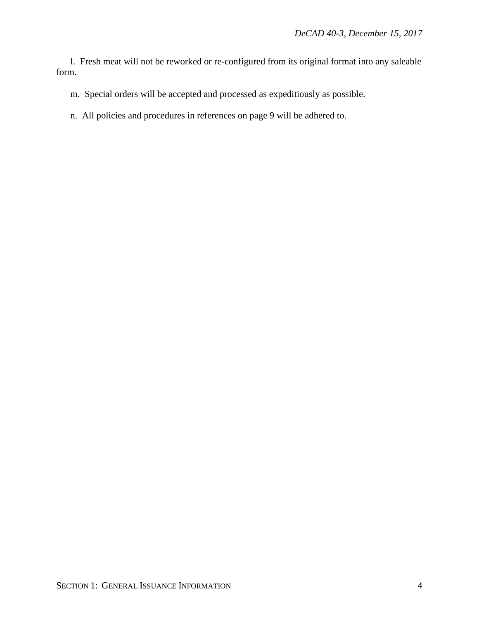l. Fresh meat will not be reworked or re-configured from its original format into any saleable form.

- m. Special orders will be accepted and processed as expeditiously as possible.
- n. All policies and procedures in references on page 9 will be adhered to.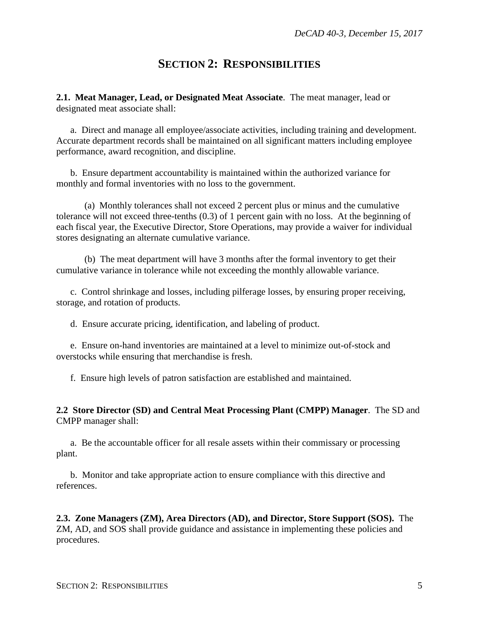#### **SECTION 2: RESPONSIBILITIES**

<span id="page-4-1"></span><span id="page-4-0"></span>**2.1. Meat Manager, Lead, or Designated Meat Associate**. The meat manager, lead or designated meat associate shall:

a. Direct and manage all employee/associate activities, including training and development. Accurate department records shall be maintained on all significant matters including employee performance, award recognition, and discipline.

b. Ensure department accountability is maintained within the authorized variance for monthly and formal inventories with no loss to the government.

(a) Monthly tolerances shall not exceed 2 percent plus or minus and the cumulative tolerance will not exceed three-tenths (0.3) of 1 percent gain with no loss. At the beginning of each fiscal year, the Executive Director, Store Operations, may provide a waiver for individual stores designating an alternate cumulative variance.

(b) The meat department will have 3 months after the formal inventory to get their cumulative variance in tolerance while not exceeding the monthly allowable variance.

c. Control shrinkage and losses, including pilferage losses, by ensuring proper receiving, storage, and rotation of products.

d. Ensure accurate pricing, identification, and labeling of product.

e. Ensure on-hand inventories are maintained at a level to minimize out-of-stock and overstocks while ensuring that merchandise is fresh.

f. Ensure high levels of patron satisfaction are established and maintained.

**2.2 Store Director (SD) and Central Meat Processing Plant (CMPP) Manager**. The SD and CMPP manager shall:

a. Be the accountable officer for all resale assets within their commissary or processing plant.

b. Monitor and take appropriate action to ensure compliance with this directive and references.

**2.3. Zone Managers (ZM), Area Directors (AD), and Director, Store Support (SOS).** The ZM, AD, and SOS shall provide guidance and assistance in implementing these policies and procedures.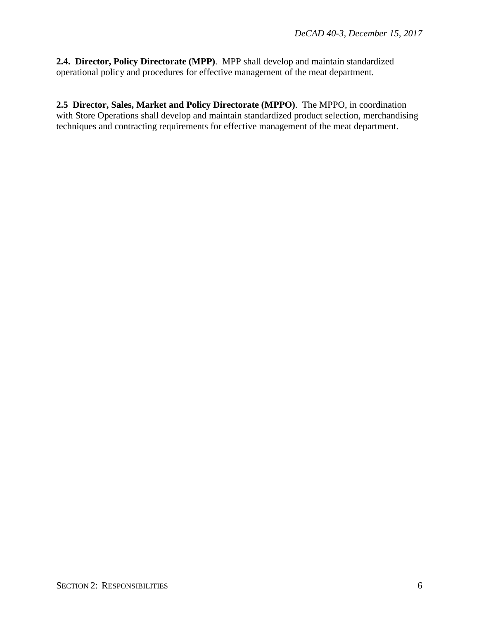**2.4. Director, Policy Directorate (MPP)**. MPP shall develop and maintain standardized operational policy and procedures for effective management of the meat department.

**2.5 Director, Sales, Market and Policy Directorate (MPPO)**. The MPPO, in coordination with Store Operations shall develop and maintain standardized product selection, merchandising techniques and contracting requirements for effective management of the meat department.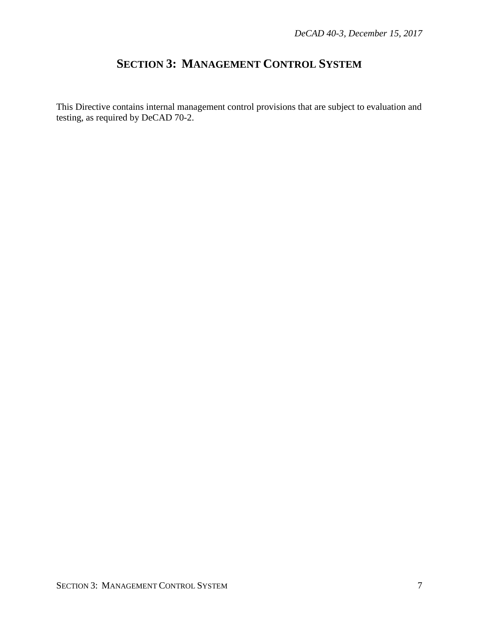### **SECTION 3: MANAGEMENT CONTROL SYSTEM**

<span id="page-6-0"></span>This Directive contains internal management control provisions that are subject to evaluation and testing, as required by DeCAD 70-2.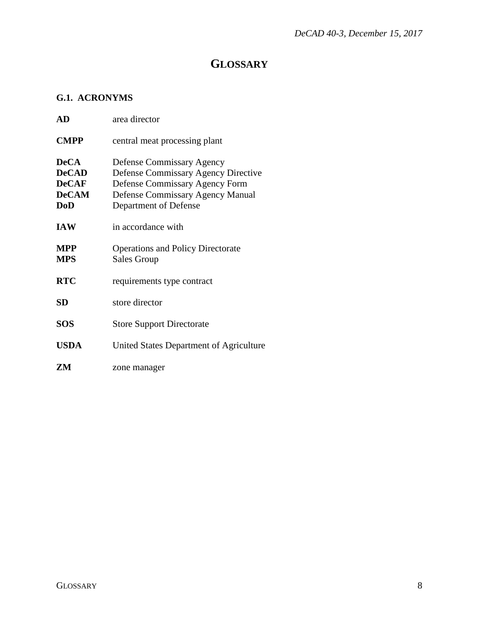## **GLOSSARY**

#### <span id="page-7-1"></span><span id="page-7-0"></span>**G.1. ACRONYMS**

| AD                                                                        | area director                                                                                                                                                                 |
|---------------------------------------------------------------------------|-------------------------------------------------------------------------------------------------------------------------------------------------------------------------------|
| <b>CMPP</b>                                                               | central meat processing plant                                                                                                                                                 |
| <b>DeCA</b><br><b>DeCAD</b><br><b>DeCAF</b><br><b>DeCAM</b><br><b>DoD</b> | Defense Commissary Agency<br><b>Defense Commissary Agency Directive</b><br>Defense Commissary Agency Form<br><b>Defense Commissary Agency Manual</b><br>Department of Defense |
| <b>IAW</b>                                                                | in accordance with                                                                                                                                                            |
| <b>MPP</b><br><b>MPS</b>                                                  | <b>Operations and Policy Directorate</b><br><b>Sales Group</b>                                                                                                                |
| <b>RTC</b>                                                                | requirements type contract                                                                                                                                                    |
| SD                                                                        | store director                                                                                                                                                                |
| <b>SOS</b>                                                                | <b>Store Support Directorate</b>                                                                                                                                              |
| <b>USDA</b>                                                               | United States Department of Agriculture                                                                                                                                       |
| ZМ                                                                        | zone manager                                                                                                                                                                  |